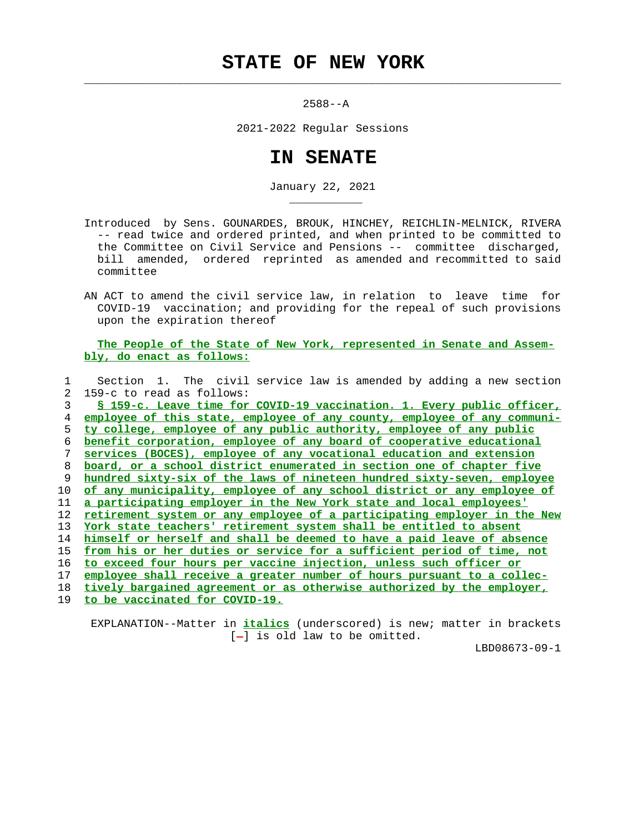## **STATE OF NEW YORK**

 $\mathcal{L}_\text{max} = \frac{1}{2} \sum_{i=1}^{n} \frac{1}{2} \sum_{i=1}^{n} \frac{1}{2} \sum_{i=1}^{n} \frac{1}{2} \sum_{i=1}^{n} \frac{1}{2} \sum_{i=1}^{n} \frac{1}{2} \sum_{i=1}^{n} \frac{1}{2} \sum_{i=1}^{n} \frac{1}{2} \sum_{i=1}^{n} \frac{1}{2} \sum_{i=1}^{n} \frac{1}{2} \sum_{i=1}^{n} \frac{1}{2} \sum_{i=1}^{n} \frac{1}{2} \sum_{i=1}^{n} \frac{1$ 

2588--A

2021-2022 Regular Sessions

## **IN SENATE**

January 22, 2021

 Introduced by Sens. GOUNARDES, BROUK, HINCHEY, REICHLIN-MELNICK, RIVERA -- read twice and ordered printed, and when printed to be committed to the Committee on Civil Service and Pensions -- committee discharged, bill amended, ordered reprinted as amended and recommitted to said committee

 AN ACT to amend the civil service law, in relation to leave time for COVID-19 vaccination; and providing for the repeal of such provisions upon the expiration thereof

 **The People of the State of New York, represented in Senate and Assem bly, do enact as follows:**

 1 Section 1. The civil service law is amended by adding a new section 2 159-c to read as follows: **§ 159-c. Leave time for COVID-19 vaccination. 1. Every public officer, employee of this state, employee of any county, employee of any communi- ty college, employee of any public authority, employee of any public benefit corporation, employee of any board of cooperative educational services (BOCES), employee of any vocational education and extension board, or a school district enumerated in section one of chapter five hundred sixty-six of the laws of nineteen hundred sixty-seven, employee of any municipality, employee of any school district or any employee of a participating employer in the New York state and local employees' retirement system or any employee of a participating employer in the New York state teachers' retirement system shall be entitled to absent himself or herself and shall be deemed to have a paid leave of absence from his or her duties or service for a sufficient period of time, not to exceed four hours per vaccine injection, unless such officer or employee shall receive a greater number of hours pursuant to a collec- tively bargained agreement or as otherwise authorized by the employer,**

19 **to be vaccinated for COVID-19.**

\_\_\_\_\_\_\_\_\_\_\_

 EXPLANATION--Matter in **italics** (underscored) is new; matter in brackets  $[-]$  is old law to be omitted.

LBD08673-09-1